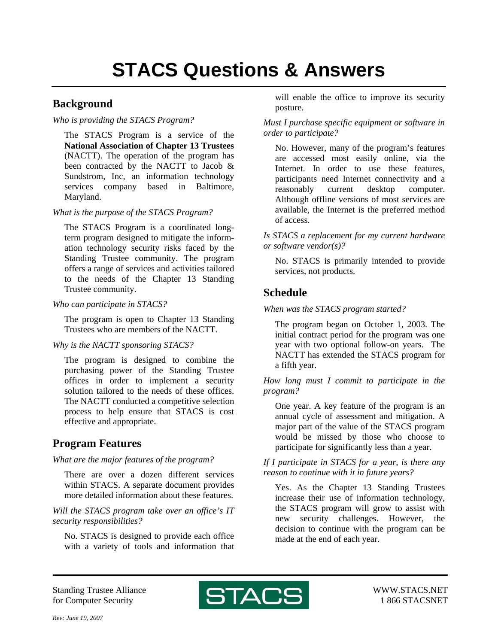## **Background**

*Who is providing the STACS Program?* 

The STACS Program is a service of the **National Association of Chapter 13 Trustees** (NACTT). The operation of the program has been contracted by the NACTT to Jacob & Sundstrom, Inc, an information technology services company based in Baltimore, Maryland.

*What is the purpose of the STACS Program?* 

The STACS Program is a coordinated longterm program designed to mitigate the information technology security risks faced by the Standing Trustee community. The program offers a range of services and activities tailored to the needs of the Chapter 13 Standing Trustee community.

*Who can participate in STACS?* 

The program is open to Chapter 13 Standing Trustees who are members of the NACTT.

*Why is the NACTT sponsoring STACS?* 

The program is designed to combine the purchasing power of the Standing Trustee offices in order to implement a security solution tailored to the needs of these offices. The NACTT conducted a competitive selection process to help ensure that STACS is cost effective and appropriate.

# **Program Features**

*What are the major features of the program?* 

There are over a dozen different services within STACS. A separate document provides more detailed information about these features.

*Will the STACS program take over an office's IT security responsibilities?* 

No. STACS is designed to provide each office with a variety of tools and information that will enable the office to improve its security posture.

*Must I purchase specific equipment or software in order to participate?* 

No. However, many of the program's features are accessed most easily online, via the Internet. In order to use these features, participants need Internet connectivity and a reasonably current desktop computer. Although offline versions of most services are available, the Internet is the preferred method of access.

*Is STACS a replacement for my current hardware or software vendor(s)?* 

No. STACS is primarily intended to provide services, not products.

# **Schedule**

*When was the STACS program started?* 

The program began on October 1, 2003. The initial contract period for the program was one year with two optional follow-on years. The NACTT has extended the STACS program for a fifth year.

*How long must I commit to participate in the program?* 

One year. A key feature of the program is an annual cycle of assessment and mitigation. A major part of the value of the STACS program would be missed by those who choose to participate for significantly less than a year.

*If I participate in STACS for a year, is there any reason to continue with it in future years?* 

Yes. As the Chapter 13 Standing Trustees increase their use of information technology, the STACS program will grow to assist with new security challenges. However, the decision to continue with the program can be made at the end of each year.

Standing Trustee Alliance for Computer Security